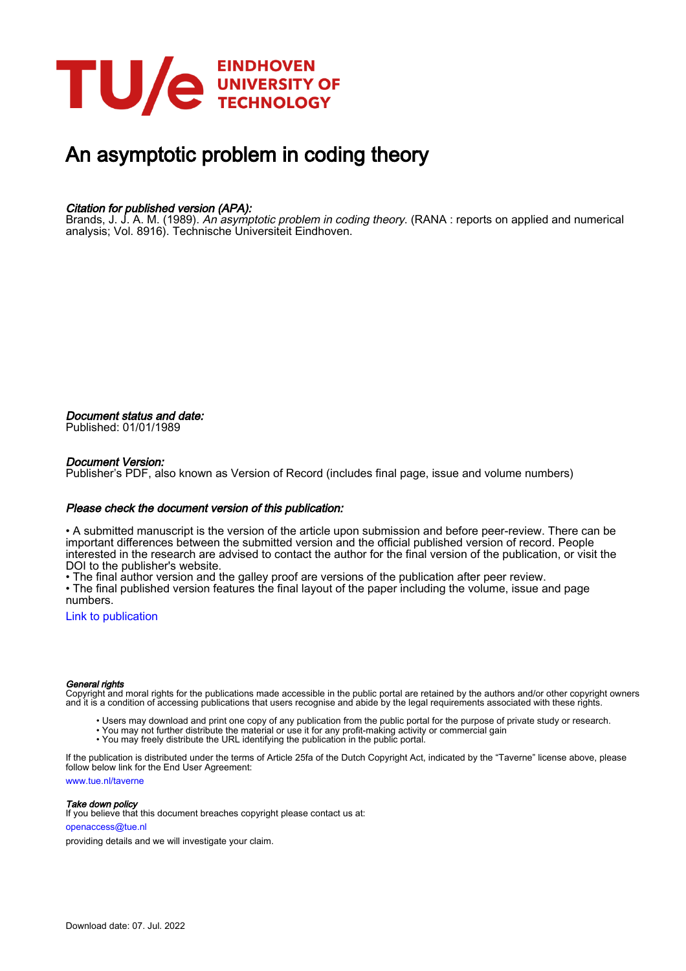

## An asymptotic problem in coding theory

#### Citation for published version (APA):

Brands, J. J. A. M. (1989). *An asymptotic problem in coding theory*. (RANA : reports on applied and numerical analysis; Vol. 8916). Technische Universiteit Eindhoven.

Document status and date: Published: 01/01/1989

#### Document Version:

Publisher's PDF, also known as Version of Record (includes final page, issue and volume numbers)

#### Please check the document version of this publication:

• A submitted manuscript is the version of the article upon submission and before peer-review. There can be important differences between the submitted version and the official published version of record. People interested in the research are advised to contact the author for the final version of the publication, or visit the DOI to the publisher's website.

• The final author version and the galley proof are versions of the publication after peer review.

• The final published version features the final layout of the paper including the volume, issue and page numbers.

[Link to publication](https://research.tue.nl/en/publications/a7d4c102-ca7b-40ee-ba43-af205e5d423a)

#### General rights

Copyright and moral rights for the publications made accessible in the public portal are retained by the authors and/or other copyright owners and it is a condition of accessing publications that users recognise and abide by the legal requirements associated with these rights.

- Users may download and print one copy of any publication from the public portal for the purpose of private study or research.
- You may not further distribute the material or use it for any profit-making activity or commercial gain
- You may freely distribute the URL identifying the publication in the public portal.

If the publication is distributed under the terms of Article 25fa of the Dutch Copyright Act, indicated by the "Taverne" license above, please follow below link for the End User Agreement:

www.tue.nl/taverne

**Take down policy**<br>If you believe that this document breaches copyright please contact us at:

openaccess@tue.nl

providing details and we will investigate your claim.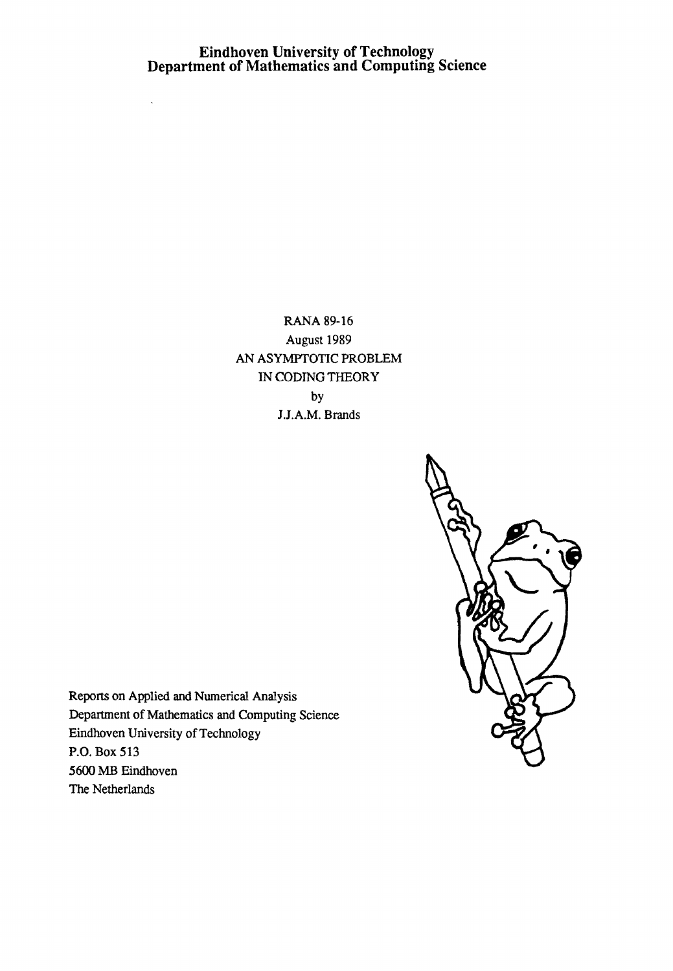# **Eindhoven University of Technology Department of Mathematics and Computing Science**

 $\bar{\mathcal{A}}$ 

RANA 89-16 August 1989 AN ASYMPTOTIC PROBLEM IN CODING THEORY by J.J.A.M. Brands



Repons on Applied and Numerical Analysis Department of Mathematics and Computing Science Eindhoven University of Technology P.O. Box 513 5600 MB Eindhoven The Netherlands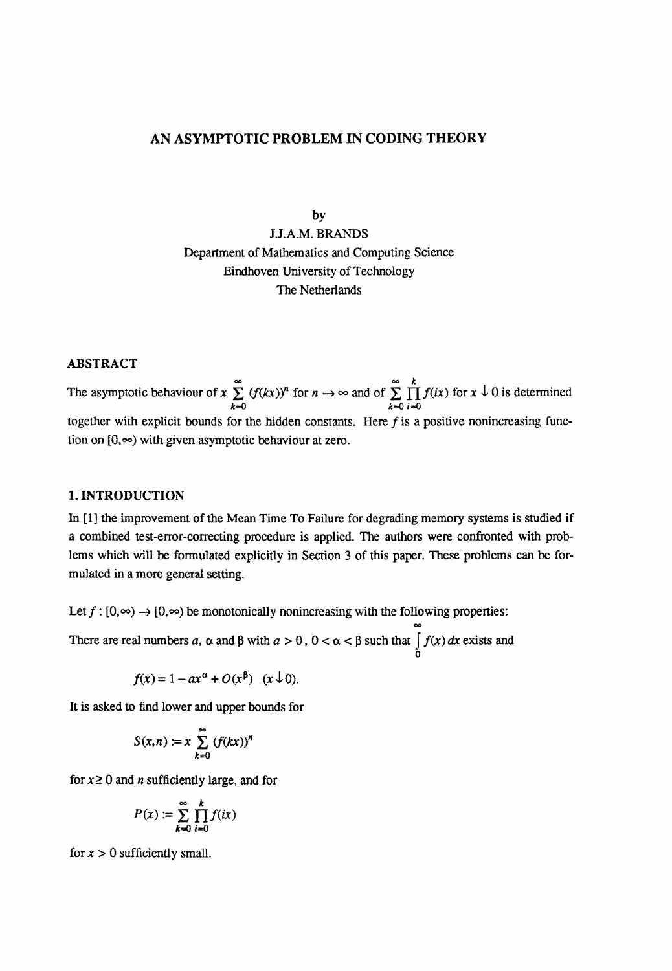### AN ASYMPTOTIC PROBLEM IN CODING THEORY

by

I.I.A.M. BRANDS Department of Mathematics and Computing Science Eindhoven University of Technology The Netherlands

#### ABSTRACT

The asymptotic behaviour of  $x \sum_{n=1}^{\infty} (f(kx))^n$  for  $n \to \infty$  and of  $\sum_{n=1}^{\infty} \prod_{n=1}^{k} f(ix)$  for  $x \downarrow 0$  is determined  $k=0$  i=0 together with explicit bounds for the hidden constants. Here  $f$  is a positive nonincreasing function on  $[0, \infty)$  with given asymptotic behaviour at zero.

#### 1. INTRODUCTION

In [1] the improvement of the Mean Time To Failure for degrading memory systems is studied if a combined test-error-correcting procedure is applied. The authors were confronted with problems which will be fonnulated explicitly in Section 3 of this paper. These problems can be formulated in a more general setting.

Let  $f: [0,\infty) \to [0,\infty)$  be monotonically nonincreasing with the following properties:

There are real numbers *a*,  $\alpha$  and  $\beta$  with  $a > 0$ ,  $0 < \alpha < \beta$  such that  $\int f(x) dx$  exists and o

$$
f(x) = 1 - ax^{\alpha} + O(x^{\beta}) \quad (x \downarrow 0).
$$

It is asked to find lower and upper bounds for

$$
S(x,n) := x \sum_{k=0}^{\infty} (f(kx))^n
$$

for  $x \ge 0$  and *n* sufficiently large, and for

$$
P(x) := \sum_{k=0}^{\infty} \prod_{i=0}^{k} f(ix)
$$

for  $x > 0$  sufficiently small.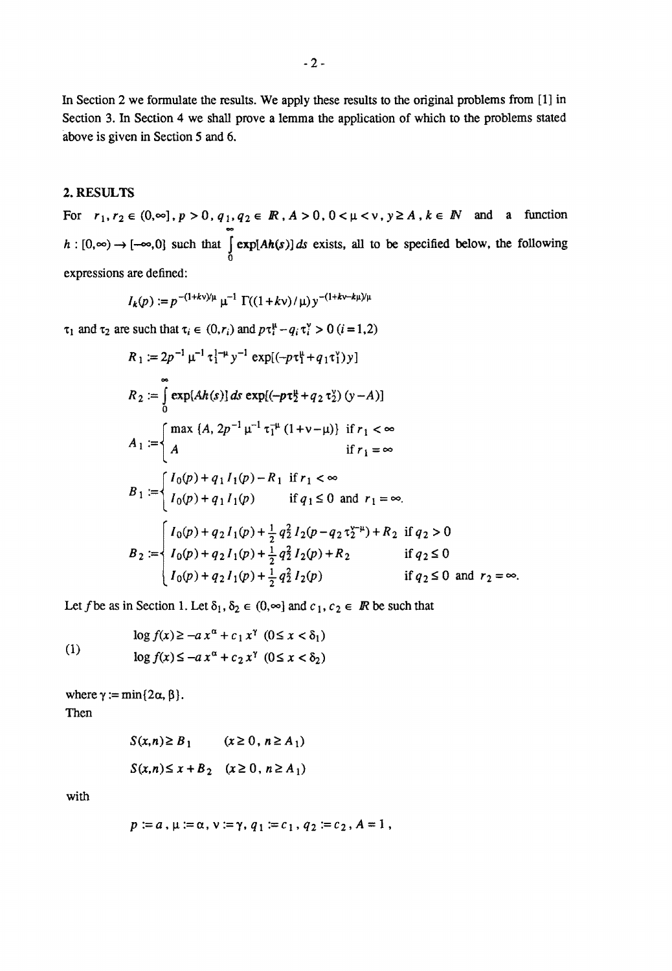In Section 2 we formulate the results. We apply these results to the original problems from [1] in Section 3. In Section 4 we shall prove a lemma the application of which to the problems stated above is given in Section 5 and 6.

#### 2. RESULTS

For  $r_1, r_2 \in (0, \infty], p > 0, q_1, q_2 \in \mathbb{R}$ ,  $A > 0$ ,  $0 < \mu < v$ ,  $y \ge A$ ,  $k \in \mathbb{N}$  and a function  $h: [0,\infty) \to [-\infty,0]$  such that  $\int \exp[Ah(s)]ds$  exists, all to be specified below, the following o expressions are defined:

$$
I_k(p) := p^{-(1+kv)/\mu} \mu^{-1} \Gamma((1+kv)/\mu) y^{-(1+kv-k\mu)/\mu}
$$

 $\tau_1$  and  $\tau_2$  are such that  $\tau_i \in (0, r_i)$  and  $p\tau_i^{\mu} - q_i \tau_i^{\nu} > 0$  (*i* = 1,2)

$$
R_1 := 2p^{-1} \mu^{-1} \tau_1^{1-\mu} y^{-1} \exp[(-p\tau_1^{\mu} + q_1\tau_1^{\nu})y]
$$
  
\n
$$
R_2 := \int_0^{\infty} \exp[Ah(s)] ds \exp[(-p\tau_2^{\mu} + q_2\tau_2^{\nu}) (y - A)]
$$
  
\n
$$
A_1 := \begin{cases} \max (A, 2p^{-1} \mu^{-1} \tau_1^{-\mu} (1 + v - \mu)) & \text{if } r_1 < \infty \\ A & \text{if } r_1 = \infty \end{cases}
$$
  
\n
$$
B_1 := \begin{cases} I_0(p) + q_1 I_1(p) - R_1 & \text{if } r_1 < \infty \\ I_0(p) + q_1 I_1(p) & \text{if } q_1 \le 0 \text{ and } r_1 = \infty. \end{cases}
$$
  
\n
$$
B_2 := \begin{cases} I_0(p) + q_2 I_1(p) + \frac{1}{2} q_2^2 I_2(p - q_2\tau_2^{-\mu}) + R_2 & \text{if } q_2 > 0 \\ I_0(p) + q_2 I_1(p) + \frac{1}{2} q_2^2 I_2(p) + R_2 & \text{if } q_2 \le 0 \\ I_0(p) + q_2 I_1(p) + \frac{1}{2} q_2^2 I_2(p) & \text{if } q_2 \le 0 \text{ and } r_2 = \infty. \end{cases}
$$

Let f be as in Section 1. Let  $\delta_1, \delta_2 \in (0, \infty]$  and  $c_1, c_2 \in \mathbb{R}$  be such that

(1) 
$$
\log f(x) \ge -a x^{\alpha} + c_1 x^{\gamma} \quad (0 \le x < \delta_1)
$$

$$
\log f(x) \le -a x^{\alpha} + c_2 x^{\gamma} \quad (0 \le x < \delta_2)
$$

where  $\gamma := \min\{2\alpha, \beta\}.$ Then

> $S(x, n) \ge B_1$   $(x \ge 0, n \ge A_1)$  $S(x,n) \leq x + B_2$   $(x \geq 0, n \geq A_1)$

with

$$
p := a, \mu := \alpha, \nu := \gamma, q_1 := c_1, q_2 := c_2, A = 1,
$$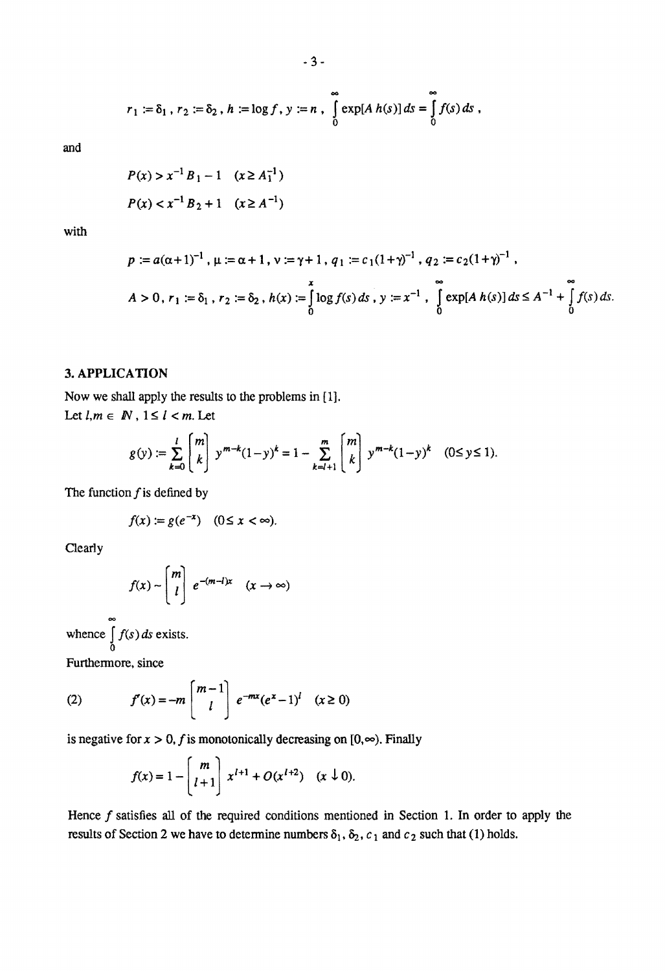$$
r_1 := \delta_1 \, , \, r_2 := \delta_2 \, , \, h := \log f \, , \, y := n \, , \, \int_0^\infty \exp[A \, h(s)] \, ds = \int_0^\infty f(s) \, ds \, ,
$$

and

$$
P(x) > x^{-1} B_1 - 1 \quad (x \ge A_1^{-1})
$$
  

$$
P(x) < x^{-1} B_2 + 1 \quad (x \ge A^{-1})
$$

with

$$
p := a(\alpha + 1)^{-1}, \mu := \alpha + 1, \nu := \gamma + 1, q_1 := c_1(1 + \gamma)^{-1}, q_2 := c_2(1 + \gamma)^{-1},
$$
  

$$
A > 0, r_1 := \delta_1, r_2 := \delta_2, h(x) := \int_0^x \log f(s) \, ds, \quad y := x^{-1}, \quad \int_0^\infty \exp[A \, h(s)] \, ds \le A^{-1} + \int_0^\infty f(s) \, ds.
$$

#### **3. APPLICATION**

Now we shall apply the results to the problems in [IJ. Let  $l, m \in \mathbb{N}$ ,  $1 \leq l < m$ . Let

$$
g(y) := \sum_{k=0}^{l} \binom{m}{k} y^{m-k} (1-y)^k = 1 - \sum_{k=l+1}^{m} \binom{m}{k} y^{m-k} (1-y)^k \quad (0 \le y \le 1).
$$

The function  $f$  is defined by

$$
f(x) := g(e^{-x}) \quad (0 \le x < \infty).
$$

Clearly

$$
f(x) \sim \begin{bmatrix} m \\ l \end{bmatrix} e^{-(m-l)x} \quad (x \to \infty)
$$

whence  $\int f(s) ds$  exists. o

Furthermore, since

(2) 
$$
f'(x) = -m \begin{bmatrix} m-1 \\ l \end{bmatrix} e^{-mx} (e^x - 1)^l \quad (x \ge 0)
$$

is negative for  $x > 0$ , f is monotonically decreasing on  $[0, \infty)$ . Finally

$$
f(x) = 1 - \begin{bmatrix} m \\ l+1 \end{bmatrix} x^{l+1} + O(x^{l+2}) \quad (x \downarrow 0).
$$

Hence  $f$  satisfies all of the required conditions mentioned in Section 1. In order to apply the results of Section 2 we have to determine numbers  $\delta_1$ ,  $\delta_2$ ,  $c_1$  and  $c_2$  such that (1) holds.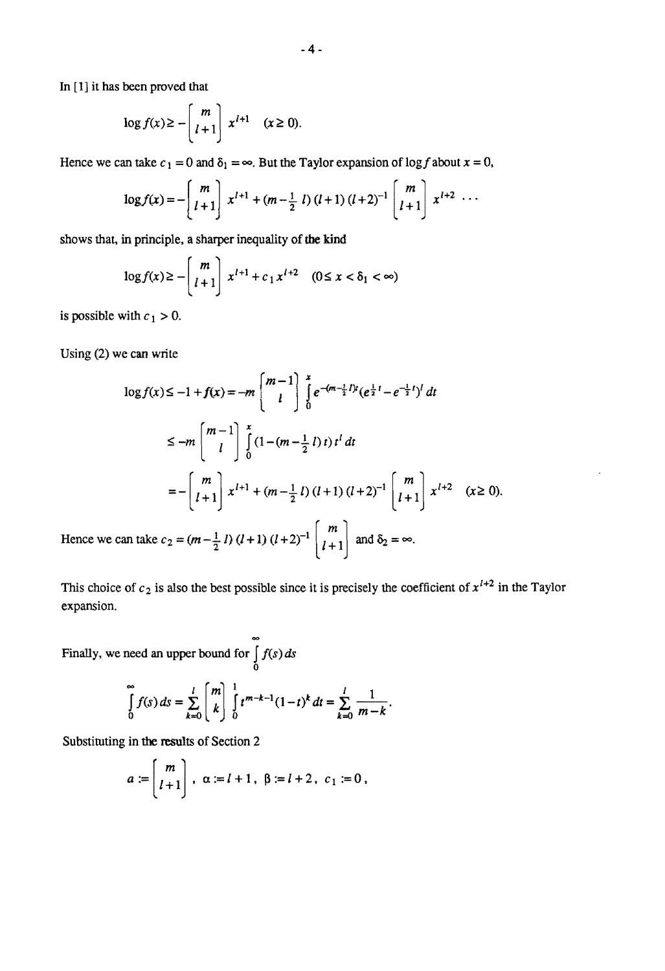In [1] it has been proved that

$$
\log f(x) \ge -\left[\frac{m}{l+1}\right] x^{l+1} \quad (x \ge 0).
$$

Hence we can take  $c_1 = 0$  and  $\delta_1 = \infty$ . But the Taylor expansion of log f about  $x = 0$ ,

$$
\log f(x) = -\begin{bmatrix} m \\ l+1 \end{bmatrix} x^{l+1} + (m - \frac{1}{2} l) (l+1) (l+2)^{-1} \begin{bmatrix} m \\ l+1 \end{bmatrix} x^{l+2} \cdots
$$

shows that, in principle, a sharper inequality of the kind

$$
\log f(x) \ge -\left[\frac{m}{l+1}\right] x^{l+1} + c_1 x^{l+2} \quad (0 \le x < \delta_1 < \infty)
$$

is possible with  $c_1 > 0$ .

Using (2) we can write

$$
\log f(x) \le -1 + f(x) = -m \begin{bmatrix} m-1 \\ l \end{bmatrix} \int_{0}^{x} e^{-(m-\frac{1}{2}l)t} (e^{\frac{1}{2}l} - e^{-\frac{1}{2}l})^{l} dt
$$
  
\n
$$
\le -m \begin{bmatrix} m-1 \\ l \end{bmatrix} \int_{0}^{x} (1 - (m-\frac{1}{2}l)t) t^{l} dt
$$
  
\n
$$
= -\begin{bmatrix} m \\ l+1 \end{bmatrix} x^{l+1} + (m-\frac{1}{2}l) (l+1) (l+2)^{-1} \begin{bmatrix} m \\ l+1 \end{bmatrix} x^{l+2} \quad (x \ge 0).
$$
  
\ncan take  $c_0 = (m-1, l) (l+1) (l+2)^{-1} \begin{bmatrix} m \\ m \end{bmatrix}$  and  $\delta_0 = \infty$ 

Hence we can take  $c_2 = (m - \frac{1}{2}l) (l + 1) (l + 2)^{-1} \left[ l + 1 \right]$  and  $\delta_2 = \infty$ .

This choice of  $c_2$  is also the best possible since it is precisely the coefficient of  $x^{l+2}$  in the Taylor expansion.

Finally, we need an upper bound for  $\int f(s) ds$  $\boldsymbol{\delta}$ 

$$
\int_{0}^{\infty} f(s) ds = \sum_{k=0}^{l} {m \choose k} \int_{0}^{1} t^{m-k-1} (1-t)^{k} dt = \sum_{k=0}^{l} \frac{1}{m-k}.
$$

Substituting in the results of Section 2

$$
a := \begin{bmatrix} m \\ l+1 \end{bmatrix}, \ \alpha := l+1, \ \beta := l+2, \ c_1 := 0,
$$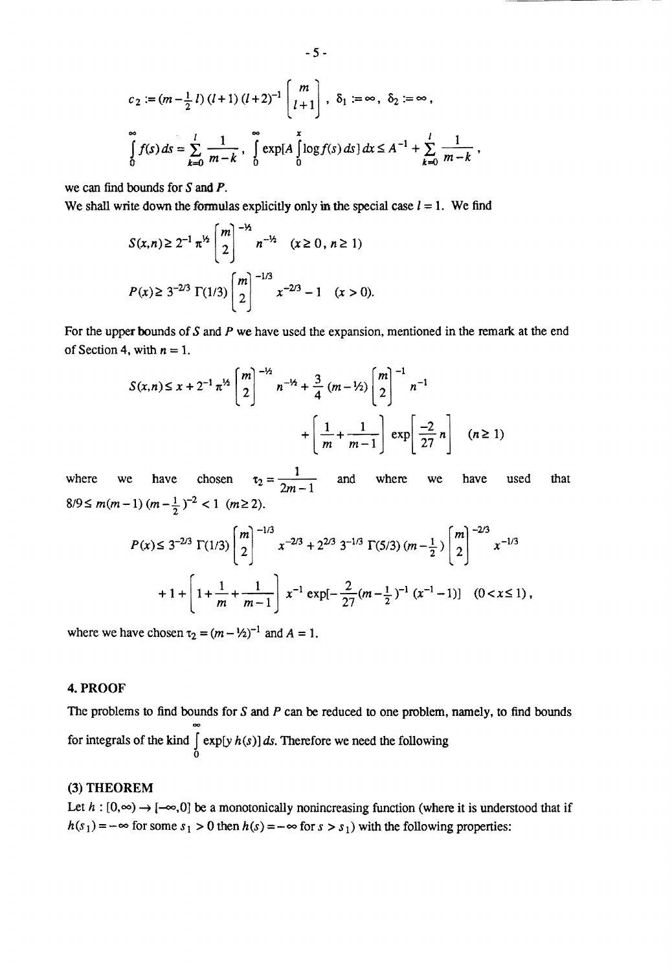$$
c_2 := (m - \frac{1}{2} l) (l + 1) (l + 2)^{-1} \begin{bmatrix} m \\ l + 1 \end{bmatrix}, \ \delta_1 := \infty, \ \delta_2 := \infty,
$$
  

$$
\int_0^\infty f(s) ds = \sum_{k=0}^l \frac{1}{m - k}, \ \int_0^\infty \exp[A \int_0^x \log f(s) ds] dx \le A^{-1} + \sum_{k=0}^l \frac{1}{m - k},
$$

we can find bounds for S and P.

We shall write down the formulas explicitly only in the special case  $l = 1$ . We find

$$
S(x,n) \ge 2^{-1} \pi^{1/2} \begin{bmatrix} m \\ 2 \end{bmatrix}^{-1/2} n^{-1/2} \quad (x \ge 0, n \ge 1)
$$
  

$$
P(x) \ge 3^{-2/3} \Gamma(1/3) \begin{bmatrix} m \\ 2 \end{bmatrix}^{-1/3} x^{-2/3} - 1 \quad (x > 0).
$$

For the upper bounds of S and P we have used the expansion, mentioned in the remark at the end of Section 4, with  $n = 1$ .

$$
S(x,n) \le x + 2^{-1} \pi^{1/2} \binom{m}{2}^{-1/2} n^{-1/2} + \frac{3}{4} (m - 1/2) \binom{m}{2}^{-1} n^{-1} + \left[ \frac{1}{m} + \frac{1}{m - 1} \right] \exp \left[ \frac{-2}{27} n \right] \quad (n \ge 1)
$$

where we have chosen  $\tau_2 = \frac{1}{2m-1}$  and where we have used that  $8/9 \le m(m-1) (m - \frac{1}{2})^{-2} < 1 (m \ge 2).$ 

$$
P(x) \le 3^{-2/3} \Gamma(1/3) \binom{m}{2}^{-1/3} x^{-2/3} + 2^{2/3} 3^{-1/3} \Gamma(5/3) (m - \frac{1}{2}) \binom{m}{2}^{-2/3} x^{-1/3}
$$
  
+  $1 + \left[ 1 + \frac{1}{m} + \frac{1}{m - 1} \right] x^{-1} \exp[-\frac{2}{27} (m - \frac{1}{2})^{-1} (x^{-1} - 1)] \quad (0 < x \le 1),$ 

where we have chosen  $\tau_2 = (m - \frac{1}{2})^{-1}$  and  $A = 1$ .

#### 4. PROOF

The problems to find bounds for  $S$  and  $P$  can be reduced to one problem, namely, to find bounds for integrals of the kind  $\int \exp[y h(s)] ds$ . Therefore we need the following o

### (3) THEOREM

Let  $h : [0, \infty) \to [-\infty, 0]$  be a monotonically nonincreasing function (where it is understood that if  $h(s_1) = -\infty$  for some  $s_1 > 0$  then  $h(s) = -\infty$  for  $s > s_1$ ) with the following properties: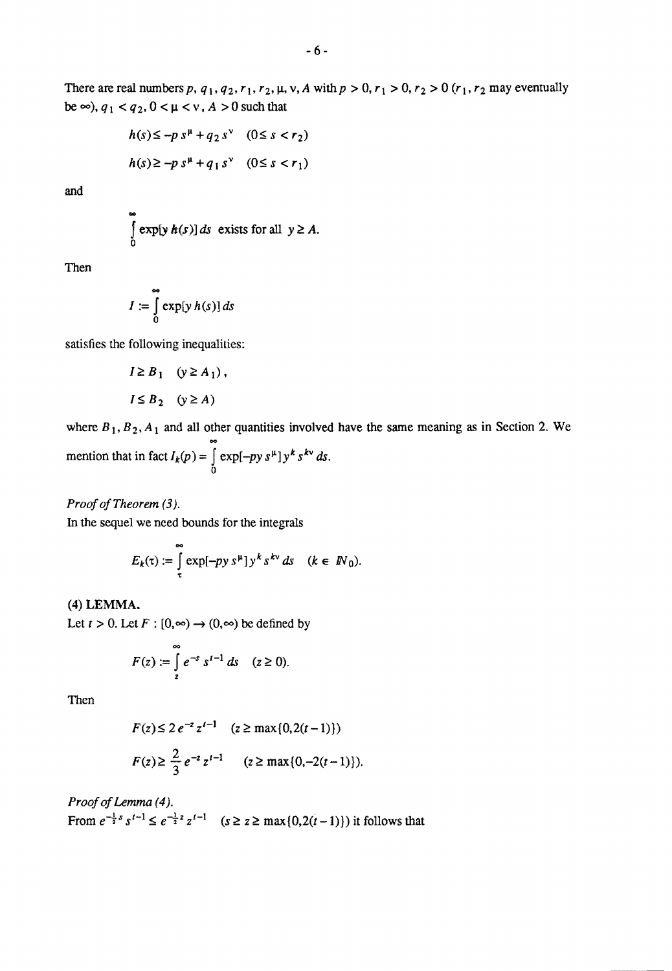There are real numbers p,  $q_1, q_2, r_1, r_2, \mu, \nu, A$  with  $p > 0, r_1 > 0, r_2 > 0$  ( $r_1, r_2$  may eventually be  $\infty$ ),  $q_1 < q_2$ ,  $0 < \mu < v$ ,  $A > 0$  such that

$$
h(s) \le -p s^{\mu} + q_2 s^{\nu} \quad (0 \le s < r_2)
$$
  

$$
h(s) \ge -p s^{\mu} + q_1 s^{\nu} \quad (0 \le s < r_1)
$$

and

$$
\int_{0}^{\infty} \exp[y h(s)] ds \text{ exists for all } y \ge A.
$$

Then

$$
I := \int_{0}^{\infty} \exp[y h(s)] ds
$$

satisfies the following inequalities:

$$
I \geq B_1 \quad (y \geq A_1),
$$
  

$$
I \leq B_2 \quad (y \geq A)
$$

where  $B_1, B_2, A_1$  and all other quantities involved have the same meaning as in Section 2. We mention that in fact  $I_k(p) = \int_{0}^{\infty} \exp[-py s^{\mu}] y^k s^{k\nu} ds$ . o

*Proof of Theorem* (3).

In the sequel we need bounds for the integrals

$$
E_k(\tau) := \int\limits_{\tau}^{\infty} \exp[-py \, s^{\mu}] \, y^k \, s^{k\nu} \, ds \quad (k \in \, \mathbb{N}_0).
$$

#### (4) LEMMA.

Let  $t > 0$ . Let  $F : [0, \infty) \to (0, \infty)$  be defined by

$$
F(z) := \int_{z}^{\infty} e^{-s} s^{t-1} ds \quad (z \ge 0).
$$

Then

$$
F(z) \le 2e^{-z} z^{t-1} \quad (z \ge \max\{0, 2(t-1)\})
$$
  

$$
F(z) \ge \frac{2}{3} e^{-z} z^{t-1} \quad (z \ge \max\{0, -2(t-1)\}).
$$

*Proof of Lemma* (4 J.

From  $e^{-\frac{1}{2}s} s^{t-1} \le e^{-\frac{1}{2}z} z^{t-1}$   $(s \ge z \ge \max\{0, 2(t-1)\})$  it follows that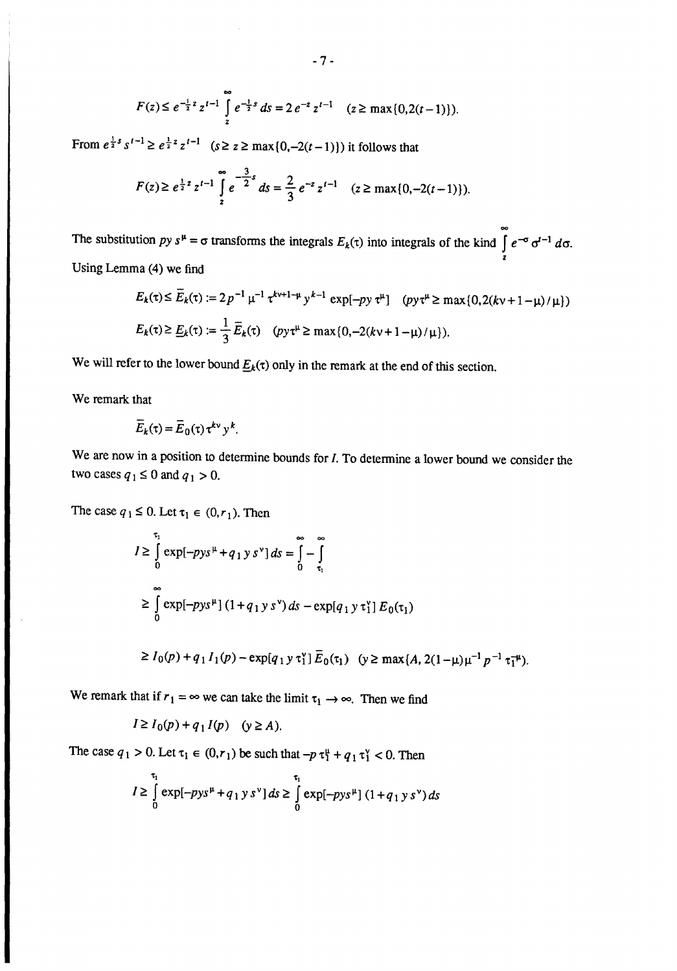$$
F(z) \leq e^{-\frac{1}{2}z} z^{t-1} \int_{z}^{\infty} e^{-\frac{1}{2}s} ds = 2 e^{-z} z^{t-1} \quad (z \geq \max\{0, 2(t-1)\}).
$$

From  $e^{\frac{1}{2}s} s^{t-1} \ge e^{\frac{1}{2}z} z^{t-1}$   $(s \ge z \ge \max\{0, -2(t-1)\})$  it follows that

$$
F(z) \ge e^{\frac{1}{2}z} z^{t-1} \int_{z}^{\infty} e^{-\frac{3}{2}z} ds = \frac{2}{3} e^{-z} z^{t-1} \quad (z \ge \max\{0, -2(t-1)\}).
$$

The substitution py  $s^{\mu} = \sigma$  transforms the integrals  $E_k(\tau)$  into integrals of the kind  $\int_{0}^{\infty} e^{-\sigma} \sigma^{t-1} d\sigma$ . z Using Lemma (4) we find

$$
E_k(\tau) \le \overline{E}_k(\tau) := 2p^{-1} \mu^{-1} \tau^{k+1-\mu} y^{k-1} \exp[-py \tau^{\mu}] \quad (py \tau^{\mu} \ge \max\{0, 2(kv + 1 - \mu)/\mu\})
$$
  

$$
E_k(\tau) \ge \underline{E}_k(\tau) := \frac{1}{3} \overline{E}_k(\tau) \quad (py \tau^{\mu} \ge \max\{0, -2(kv + 1 - \mu)/\mu\}).
$$

We will refer to the lower bound  $E_k(\tau)$  only in the remark at the end of this section.

We remark that

$$
\overline{E}_k(\tau) = \overline{E}_0(\tau) \tau^{k \nu} y^k.
$$

We are now in a position to determine bounds for *I*. To determine a lower bound we consider the two cases  $q_1 \le 0$  and  $q_1 > 0$ .

The case 
$$
q_1 \le 0
$$
. Let  $\tau_1 \in (0, r_1)$ . Then  
\n
$$
I \ge \int_0^{\tau_1} \exp[-pys^{\mu} + q_1 y s^{\nu}] ds = \int_0^{\infty} - \int_{\tau_1}^{\tau_2}
$$
\n
$$
\ge \int_0^{\infty} \exp[-pys^{\mu}] (1 + q_1 y s^{\nu}) ds - \exp[q_1 y \tau_1^{\nu}] E_0(\tau_1)
$$
\n
$$
\ge I_0(p) + q_1 I_1(p) - \exp[q_1 y \tau_1^{\nu}] \overline{E}_0(\tau_1) \quad (y \ge \max\{A, 2(1-\mu)\mu^{-1} p^{-1} \tau_1^{-\mu}\}.
$$

We remark that if  $r_1 = \infty$  we can take the limit  $\tau_1 \rightarrow \infty$ . Then we find

$$
I \ge I_0(p) + q_1 I(p) \quad (y \ge A).
$$

The case  $q_1 > 0$ . Let  $\tau_1 \in (0, r_1)$  be such that  $-p \tau_1^{\mu} + q_1 \tau_1^{\nu} < 0$ . Then

$$
I \geq \int_{0}^{\tau_1} \exp[-pys^{\mu} + q_1 y s^{\nu}] ds \geq \int_{0}^{\tau_1} \exp[-pys^{\mu}] (1 + q_1 y s^{\nu}) ds
$$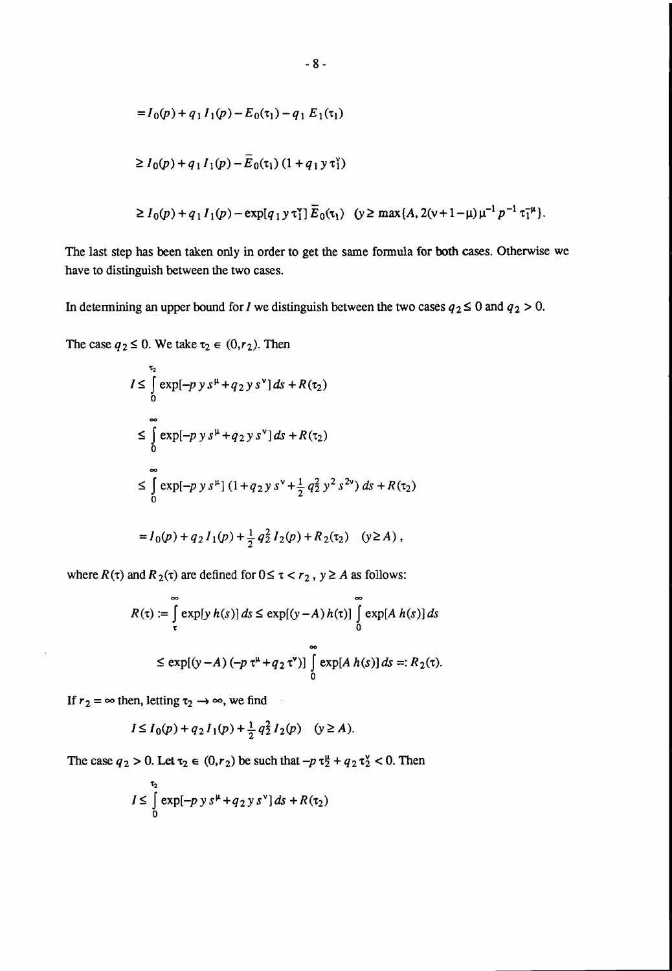$$
= I_0(p) + q_1 I_1(p) - E_0(\tau_1) - q_1 E_1(\tau_1)
$$
  
\n
$$
\ge I_0(p) + q_1 I_1(p) - \overline{E}_0(\tau_1) (1 + q_1 y \tau_1^y)
$$
  
\n
$$
\ge I_0(p) + q_1 I_1(p) - \exp[q_1 y \tau_1^y] \overline{E}_0(\tau_1) \quad (y \ge \max\{A, 2(y + 1 - \mu)\mu^{-1} p^{-1} \tau_1^{-\mu}\}.
$$

The last step has been taken only in order to get the same fonnula for both cases. Otherwise we have to distinguish between the two cases.

In determining an upper bound for *I* we distinguish between the two cases  $q_2 \le 0$  and  $q_2 > 0$ .

The case  $q_2 \le 0$ . We take  $\tau_2 \in (0,r_2)$ . Then

$$
I \leq \int_{0}^{\tau_{2}} \exp[-p y s^{\mu} + q_{2} y s^{\nu}] ds + R(\tau_{2})
$$
  
\n
$$
\leq \int_{0}^{\infty} \exp[-p y s^{\mu} + q_{2} y s^{\nu}] ds + R(\tau_{2})
$$
  
\n
$$
\leq \int_{0}^{\infty} \exp[-p y s^{\mu}] (1 + q_{2} y s^{\nu} + \frac{1}{2} q_{2}^{2} y^{2} s^{2\nu}) ds + R(\tau_{2})
$$
  
\n
$$
= I_{0}(p) + q_{2} I_{1}(p) + \frac{1}{2} q_{2}^{2} I_{2}(p) + R_{2}(\tau_{2}) \quad (y \geq A),
$$

where  $R(\tau)$  and  $R_2(\tau)$  are defined for  $0 \leq \tau \leq r_2$ ,  $y \geq A$  as follows:

$$
R(\tau) := \int_{\tau}^{\infty} \exp[y h(s)] ds \le \exp[(y - A) h(\tau)] \int_{0}^{\infty} \exp[A h(s)] ds
$$
  

$$
\le \exp[(y - A) (-p \tau^{\mu} + q_2 \tau^{\nu})] \int_{0}^{\infty} \exp[A h(s)] ds =: R_2(\tau).
$$

If  $r_2 = \infty$  then, letting  $\tau_2 \rightarrow \infty$ , we find

$$
I \le I_0(p) + q_2 I_1(p) + \frac{1}{2} q_2^2 I_2(p) \quad (y \ge A).
$$

The case  $q_2 > 0$ . Let  $\tau_2 \in (0, r_2)$  be such that  $-p \tau_2^{\mu} + q_2 \tau_2^{\nu} < 0$ . Then

$$
I \leq \int\limits_{0}^{\tau_2} \exp[-p\ y\ s^{\mu} + q_2\ y\ s^{\nu}] \, ds + R(\tau_2)
$$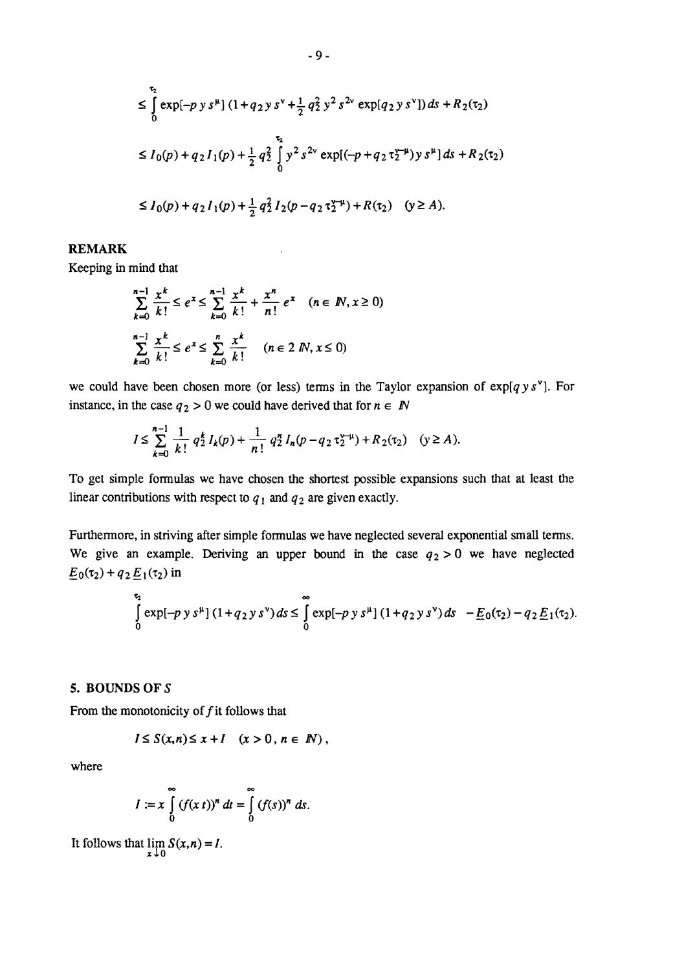$$
\leq \int_{0}^{\tau_{2}} \exp[-p y s^{\mu}] (1 + q_{2} y s^{\nu} + \frac{1}{2} q_{2}^{2} y^{2} s^{2\nu} \exp[q_{2} y s^{\nu}]) ds + R_{2}(\tau_{2})
$$
  
\n
$$
\leq I_{0}(p) + q_{2} I_{1}(p) + \frac{1}{2} q_{2}^{2} \int_{0}^{\tau_{2}} y^{2} s^{2\nu} \exp[(-p + q_{2} \tau_{2}^{\nu-\mu}) y s^{\mu}] ds + R_{2}(\tau_{2})
$$
  
\n
$$
\leq I_{0}(p) + q_{2} I_{1}(p) + \frac{1}{2} q_{2}^{2} I_{2}(p - q_{2} \tau_{2}^{\nu-\mu}) + R(\tau_{2}) \quad (y \geq A).
$$

#### REMARK

Keeping in mind that

$$
\sum_{k=0}^{n-1} \frac{x^k}{k!} \le e^x \le \sum_{k=0}^{n-1} \frac{x^k}{k!} + \frac{x^n}{n!} e^x \quad (n \in \mathbb{N}, x \ge 0)
$$
  

$$
\sum_{k=0}^{n-1} \frac{x^k}{k!} \le e^x \le \sum_{k=0}^{n} \frac{x^k}{k!} \quad (n \in 2 \mathbb{N}, x \le 0)
$$

we could have been chosen more (or less) terms in the Taylor expansion of  $\exp[q y s^{\nu}]$ . For instance, in the case  $q_2 > 0$  we could have derived that for  $n \in \mathbb{N}$ 

$$
I \leq \sum_{k=0}^{n-1} \frac{1}{k!} q_2^k I_k(p) + \frac{1}{n!} q_2^n I_n(p - q_2 \tau_2^{y-\mu}) + R_2(\tau_2) \quad (y \geq A).
$$

To get simple formulas we have chosen the shortest possible expansions such that at least the linear contributions with respect to  $q_1$  and  $q_2$  are given exactly.

Furthermore, in striving after simple formulas we have neglected several exponential small terms. We give an example. Deriving an upper bound in the case  $q_2 > 0$  we have neglected  $E_0(\tau_2) + q_2 E_1(\tau_2)$  in

$$
\int_{0}^{\tau_2} \exp[-p y s^{\mu}] (1 + q_2 y s^{\nu}) ds \leq \int_{0}^{\infty} \exp[-p y s^{\mu}] (1 + q_2 y s^{\nu}) ds - \underline{E}_0(\tau_2) - q_2 \underline{E}_1(\tau_2).
$$

#### 5. BOUNDS OF S

From the monotonicity of  $f$  it follows that

$$
I\leq S(x,n)\leq x+I\quad (x>0\,,\,n\in\ N)\,,
$$

where

$$
I := x \int_{0}^{\infty} (f(x t))^{n} dt = \int_{0}^{\infty} (f(s))^{n} ds.
$$

It follows that  $\lim_{x \downarrow 0} S(x,n) = I$ .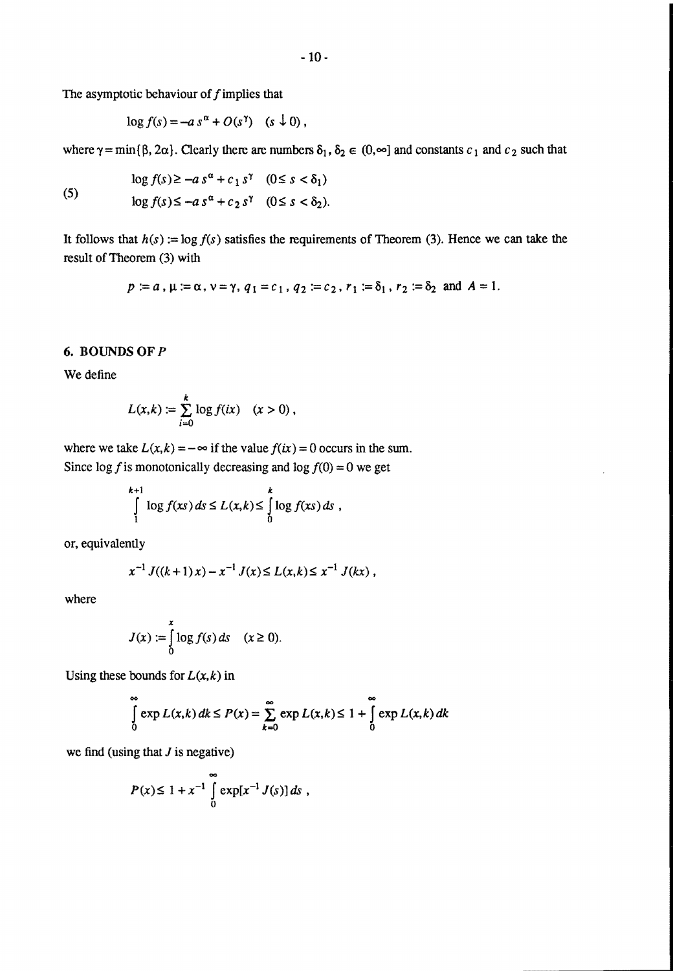The asymptotic behaviour of  $f$  implies that

$$
\log f(s) = -a s^{\alpha} + O(s^{\gamma}) \quad (s \downarrow 0),
$$

where  $\gamma = \min{\{\beta, 2\alpha\}}$ . Clearly there are numbers  $\delta_1, \delta_2 \in (0, \infty]$  and constants  $c_1$  and  $c_2$  such that

$$
(5)
$$

$$
\log f(s) \ge -a s^{\alpha} + c_1 s^{\gamma} \quad (0 \le s < \delta_1)
$$
\n
$$
\log f(s) \le -a s^{\alpha} + c_2 s^{\gamma} \quad (0 \le s < \delta_2).
$$

It follows that  $h(s) := \log f(s)$  satisfies the requirements of Theorem (3). Hence we can take the result of Theorem (3) with

$$
p := a
$$
,  $\mu := \alpha$ ,  $\nu = \gamma$ ,  $q_1 = c_1$ ,  $q_2 := c_2$ ,  $r_1 := \delta_1$ ,  $r_2 := \delta_2$  and  $A = 1$ .

#### 6. BOUNDS OF P

We define

$$
L(x,k) := \sum_{i=0}^k \log f(ix) \quad (x>0),
$$

where we take  $L(x, k) = -\infty$  if the value  $f(ix) = 0$  occurs in the sum. Since  $\log f$  is monotonically decreasing and  $\log f(0) = 0$  we get

$$
\int_{1}^{k+1} \log f(xs) ds \le L(x,k) \le \int_{0}^{k} \log f(xs) ds ,
$$

or, equivalently

$$
x^{-1} J((k+1)x) - x^{-1} J(x) \le L(x,k) \le x^{-1} J(kx) ,
$$

where

$$
J(x) := \int_{0}^{x} \log f(s) \, ds \quad (x \ge 0).
$$

Using these bounds for  $L(x, k)$  in

$$
\int_{0}^{\infty} \exp L(x,k) \, dk \le P(x) = \sum_{k=0}^{\infty} \exp L(x,k) \le 1 + \int_{0}^{\infty} \exp L(x,k) \, dk
$$

we find (using that  $J$  is negative)

$$
P(x) \le 1 + x^{-1} \int_{0}^{\infty} \exp[x^{-1} J(s)] ds ,
$$